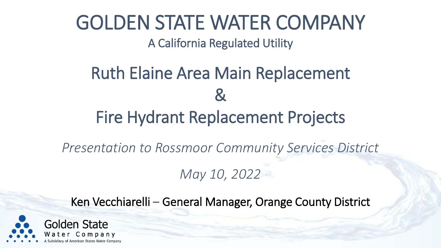## GOLDEN STATE WATER COMPANY

A California Regulated Utility

## Ruth Elaine Area Main Replacement  $\mathbf{\Omega}$ Fire Hydrant Replacement Projects

*Presentation to Rossmoor Community Services District*

*May 10, 2022*

Ken Vecchiarelli – General Manager, Orange County District

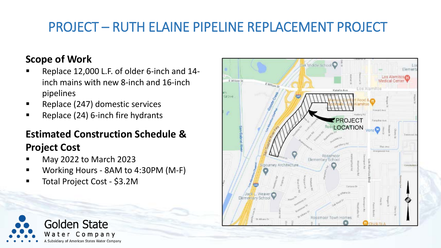### PROJECT – RUTH ELAINE PIPELINE REPLACEMENT PROJECT

#### **Scope of Work**

- Replace 12,000 L.F. of older 6-inch and 14 inch mains with new 8-inch and 16-inch pipelines
- Replace (247) domestic services
- Replace  $(24)$  6-inch fire hydrants

#### **Estimated Construction Schedule & Project Cost**

- May 2022 to March 2023
- Working Hours 8AM to 4:30PM (M-F)
- Total Project Cost \$3.2M



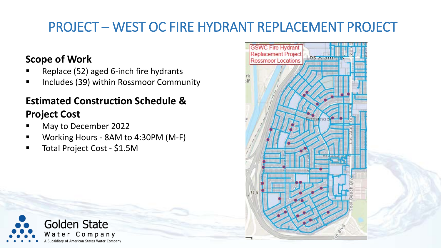### PROJECT – WEST OC FIRE HYDRANT REPLACEMENT PROJECT

#### **Scope of Work**

- Replace (52) aged 6-inch fire hydrants
- **Includes (39) within Rossmoor Community**

#### **Estimated Construction Schedule & Project Cost**

- May to December 2022
- Working Hours 8AM to 4:30PM (M-F)
- **Total Project Cost \$1.5M**



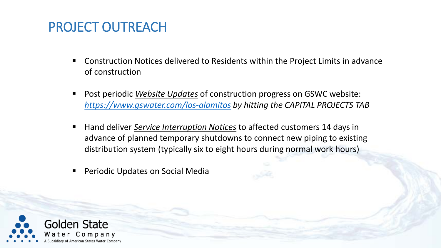### PROJECT OUTREACH

- Construction Notices delivered to Residents within the Project Limits in advance of construction
- Post periodic *Website Updates* of construction progress on GSWC website: *<https://www.gswater.com/los-alamitos> by hitting the CAPITAL PROJECTS TAB*
- Hand deliver *Service Interruption Notices* to affected customers 14 days in advance of planned temporary shutdowns to connect new piping to existing distribution system (typically six to eight hours during normal work hours)
- **Periodic Updates on Social Media**